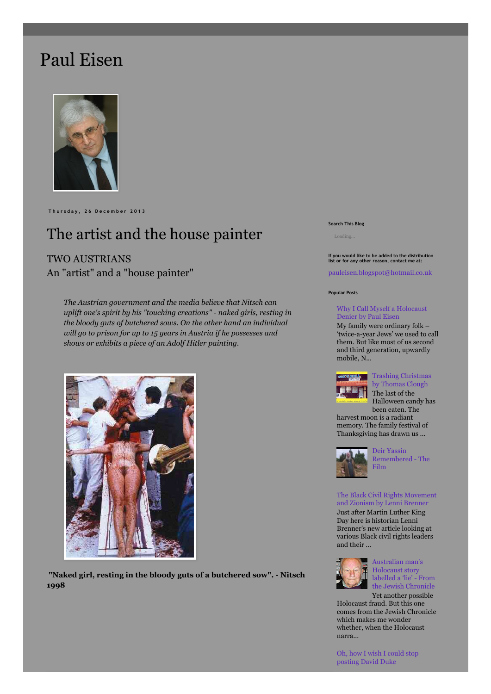# [Paul Eisen](http://pauleisen.blogspot.com.au/)



**T h u r s d a y , 2 6 D e c e m b e r 2 0 1 3**

# The artist and the house painter

# TWO AUSTRIANS An "artist" and a "house painter"

*The Austrian government and the media believe that Nitsch can uplift one's spirit by his "touching creations" - naked girls, resting in the bloody guts of butchered sows. On the other hand an individual will go to prison for up to 15 years in Austria if he possesses and shows or exhibits a piece of an Adolf Hitler painting.*



**"Naked girl, resting in the bloody guts of a butchered sow". - Nitsch 1998**

#### **Search This Blog**

**If you would like to be added to the distribution list or for any other reason, contact me at:**

[pauleisen.blogspot@hotmail.co.uk](mailto:pauleisen.blogspot@hotmail.co.uk)

#### **Popular Posts**

### [Why I Call Myself a Holocaust](http://pauleisen.blogspot.com.au/2012/12/how-i-became-holocaust-denier-by-paul.html) Denier by Paul Eisen

My family were ordinary folk – 'twice-a-year Jews' we used to call them. But like most of us second and third generation, upwardly mobile, N...



[Trashing Christmas](http://pauleisen.blogspot.com.au/2012/11/trashing-christmas-by-thomas-clough.html) by Thomas Clough

The last of the Halloween candy has been eaten. The harvest moon is a radiant memory. The family festival of Thanksgiving has drawn us ...



Deir Yassin [Remembered - The](http://pauleisen.blogspot.com.au/2012/01/blog-post.html) Film

[The Black Civil Rights Movement](http://pauleisen.blogspot.com.au/2013/01/the-black-civil-rights-movement-and.html) and Zionism by Lenni Brenner Just after Martin Luther King Day here is historian Lenni Brenner's new article looking at various Black civil rights leaders and their ...



Australian man's Holocaust story labelled a 'lie' - From [the Jewish Chronicle](http://pauleisen.blogspot.com.au/2012/10/australian-mans-holocaust-story.html)

Yet another possible Holocaust fraud. But this one comes from the Jewish Chronicle which makes me wonder whether, when the Holocaust narra...

[Oh, how I wish I could stop](http://pauleisen.blogspot.com.au/2012/12/oh-how-i-wish-i-could-stop-posting.html) posting David Duke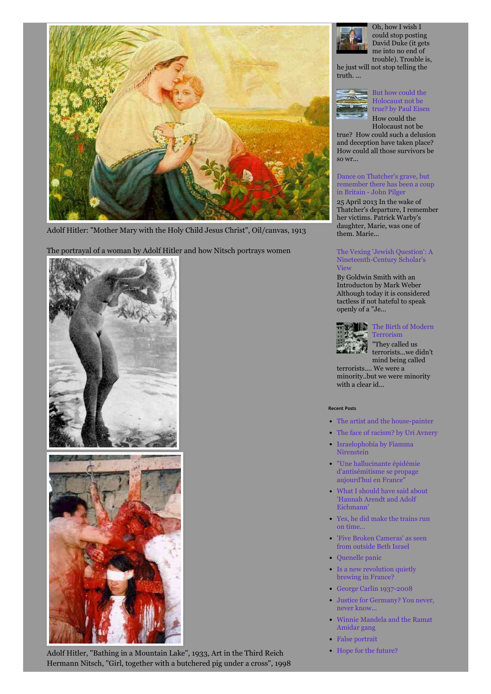

Adolf Hitler: "Mother Mary with the Holy Child Jesus Christ", Oil/canvas, 1913

The portrayal of a woman by Adolf Hitler and how Nitsch portrays women



Adolf Hitler, "Bathing in a Mountain Lake", 1933, Art in the Third Reich Hermann Nitsch, "Girl, together with a butchered pig under a cross", 1998



Oh, how I wish I could stop posting David Duke (it gets me into no end of trouble). Trouble is,

he just will not stop telling the truth. ...



so wr...

### But how could the Holocaust not be [true? by Paul Eisen](http://pauleisen.blogspot.com.au/2012/05/but-how-could-holocaust-not-be-true.html) How could the

Holocaust not be true? How could such a delusion and deception have taken place? How could all those survivors be

# Dance on Thatcher's grave, but [remember there has been a coup](http://pauleisen.blogspot.com.au/2013/04/dance-on-thatchers-grave-but-remember.html) in Britain - John Pilger

25 April 2013 In the wake of Thatcher's departure, I remember her victims. Patrick Warby's daughter, Marie, was one of them. Marie...

## [The Vexing 'Jewish Question': A](http://pauleisen.blogspot.com.au/2013/05/the-vexing-jewish-question-nineteenth.html) Nineteenth-Century Scholar's View

By Goldwin Smith with an Introducton by Mark Weber Although today it is considered tactless if not hateful to speak openly of a "Je...



# [The Birth of Modern](http://pauleisen.blogspot.com.au/2012/11/the-birth-of-modern-terrorism.html)

Terrorism "They called us terrorists...we didn't mind being called

terrorists.... We were a minority..but we were minority with a clear id...

### **Recent Posts**

- [The artist and the house-painter](http://pauleisen.blogspot.co.uk/2013/12/the-artist-and-house-painter.html)
- [The face of racism? by Uri Avnery](http://pauleisen.blogspot.co.uk/2013/12/the-face-of-racism-by-uri-avnery.html)
- [Israelophobia by Fiamma](http://pauleisen.blogspot.co.uk/2013/12/israelophobia-by-fiamma-nirensteinn.html) Nirenstein
- ["Une hallucinante épidémie](http://pauleisen.blogspot.co.uk/2013/12/une-hallucinante-epidemie.html) d'antisémitisme se propage aujourd'hui en France"
- [What I should have said about](http://pauleisen.blogspot.co.uk/2013/12/what-i-should-have-said-about-hannah.html) 'Hannah Arendt and Adolf Eichmann'
- [Yes, he did make the trains run](http://pauleisen.blogspot.co.uk/2013/12/yes-he-did-make-trains-run-on-time.html) on time...
- ['Five Broken Cameras' as seen](http://pauleisen.blogspot.co.uk/2013/12/five-broken-cameras-seen-from-outside.html) from outside Beth Israel
- Ouenelle panic
- [Is a new revolution quietly](http://pauleisen.blogspot.co.uk/2013/12/is-new-revolution-quietly-brewing-in.html) brewing in France?
- [George Carlin 1937-2008](http://pauleisen.blogspot.co.uk/2013/12/george-carlin-1937-2008.html)
- [Justice for Germany? You never,](http://pauleisen.blogspot.co.uk/2013/12/justice-for-germany-you-never-never-know.html) never know...
- [Winnie Mandela and the Ramat](http://pauleisen.blogspot.co.uk/2013/12/winnie-mandela-and-ramat-amidar-gang.html) Amidar gang
- [False portrait](http://pauleisen.blogspot.co.uk/2013/12/false-portrait.html)
- [Hope for the future?](http://pauleisen.blogspot.co.uk/2013/12/hope-for-future.html)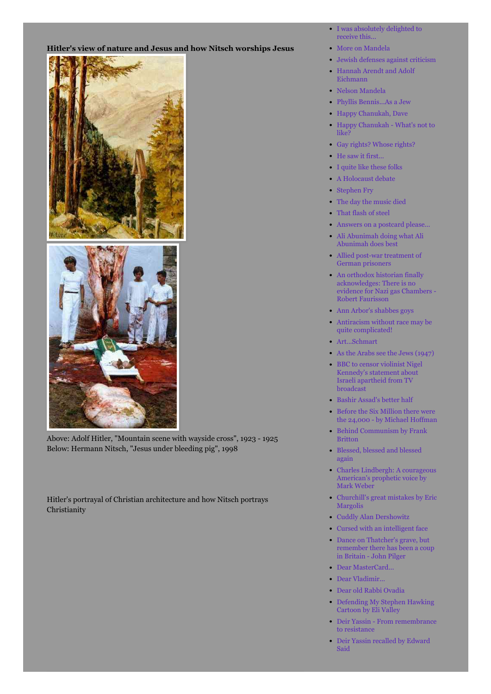# **Hitler's view of nature and Jesus and how Nitsch worships Jesus**





Above: Adolf Hitler, "Mountain scene with wayside cross", 1923 - 1925 Below: Hermann Nitsch, "Jesus under bleeding pig", 1998

Hitler's portrayal of Christian architecture and how Nitsch portrays Christianity

- [I was absolutely delighted to](http://pauleisen.blogspot.com.au/2013/12/I%20was%20absolutely%20delighted%20to%20receive%20this%20from%20the%20IHR%20%20http://pauleisen.blogspot.co.uk/2013/12/i-was-absolutely-delighted-to-receive.html) receive this...
- [More on Mandela](http://pauleisen.blogspot.co.uk/2013/12/more-on-mandela.html)
- [Jewish defenses against criticism](http://pauleisen.blogspot.co.uk/2013/12/jewish-defenses-against-criticism.html)
- [Hannah Arendt and Adolf](http://pauleisen.blogspot.co.uk/2013/12/hannah-arendt-and-adolf-eichmann.html) Eichmann
- [Nelson Mandela](http://pauleisen.blogspot.co.uk/2013/12/nelson-mandela.html)
- [Phyllis Bennis...As a Jew](http://pauleisen.blogspot.co.uk/2013/12/phyllis-bennisas-jew.html)
- [Happy Chanukah, Dave](http://pauleisen.blogspot.co.uk/2013/11/happy-chanukah-dave.html)
- [Happy Chanukah What's not to](http://pauleisen.blogspot.co.uk/2013/11/happy-chanukah-whats-not-to-like.html) like?
- [Gay rights? Whose rights?](http://pauleisen.blogspot.co.uk/2013/11/gay-rights-whos-rights.html)
- [He saw it first...](http://pauleisen.blogspot.co.uk/2013/11/he-saw-it-first.html)
- [I quite like these folks](http://pauleisen.blogspot.co.uk/2013/11/i-quite-like-these-people.html)
- [A Holocaust debate](http://pauleisen.blogspot.co.uk/2013/11/a-holocaust-debate-mark-weber-vs.html)
- [Stephen Fry](http://pauleisen.blogspot.co.uk/2013/11/stephen-fry.html)
- [The day the music died](http://pauleisen.blogspot.co.uk/2013/11/the-day-music-died.html)
- [That flash of steel](htthttp://pauleisen.blogspot.co.uk/2013/11/that-flash-of-steel.htmlp://)
- [Answers on a postcard please...](http://http//pauleisen.blogspot.co.uk/2013/11/answers-on-postcard-please.html)
- [Ali Abunimah doing what Ali](http://pauleisen.blogspot.co.uk/2013/09/ali-abunimah-doing-what-ali-abunimah.html) Abunimah does best
- [Allied post-war treatment of](http://pauleisen.blogspot.co.uk/2013/09/allied-post-war-treatment-of-german.html) German prisoners
- An orthodox historian finally acknowledges: There is no [evidence for Nazi gas Chambers -](http://pauleisen.blogspot.co.uk/2013/05/an-orthodox-historian-finally.html) Robert Faurisson
- [Ann Arbor's shabbes goys](http://pauleisen.blogspot.co.uk/2013/08/ann-arbors-shabbes-goyim.html)
- [Antiracism without race may be](http://pauleisen.blogspot.co.uk/2013/08/antiracism-without-race-may-be-quite_19.html) quite complicated!
- [Art...Schmart](http://pauleisen.blogspot.co.uk/2013/10/artschmart.html)
- [As the Arabs see the Jews \(1947\)](http://pauleisen.blogspot.co.uk/2013/07/as-arabs-see-jews-19470.html)
- [BBC to censor violinist Nigel](http://pauleisen.blogspot.co.uk/2013/08/bbc-to-censor-violinist-nigel-kennedys.html) Kennedy's statement about Israeli apartheid from TV broadcast
- [Bashir Assad's better half](http://pauleisen.blogspot.co.uk/2013/09/bashir-assads-better-half.html)
- Before the Six Million there were [the 24,000 - by Michael Hoffman](http://pauleisen.blogspot.co.uk/2013/04/before-six-million-there-were-24000.html)
- [Behind Communism by Frank](http://pauleisen.blogspot.co.uk/2013/08/behind-communism-by-frank-britton.html) Britton
- [Blessed, blessed and blessed](http://pauleisen.blogspot.co.uk/2013/08/blessed-blessed-and-blessed-again.html) again
- [Charles Lindbergh: A courageous](http://pauleisen.blogspot.co.uk/2013/05/charles-lindbergh-courageous-americans.html) American's prophetic voice by Mark Weber
- [Churchill's great mistakes by Eric](http://pauleisen.blogspot.co.uk/2013/06/churchills-great-mistakes-by-eric.html) Margolis
- [Cuddly Alan Dershowitz](http://pauleisen.blogspot.co.uk/2013/05/cuddly-alan-dershowitz.html)
- [Cursed with an intelligent face](http://pauleisen.blogspot.co.uk/2013/09/cursed-with-intelligent-face.html)
- Dance on Thatcher's grave, but [remember there has been a coup](http://pauleisen.blogspot.co.uk/2013/04/dance-on-thatchers-grave-but-remember.html) in Britain - John Pilger
- [Dear MasterCard...](http://pauleisen.blogspot.co.uk/2013/10/dear-mastercard.html)
- [Dear Vladimir...](http://pauleisen.blogspot.co.uk/2013/08/dear-vladimir.html)
- [Dear old Rabbi Ovadia](http://pauleisen.blogspot.com/2013/10/dear-old-rabbi-ovadia.html)
- [Defending My Stephen Hawking](http://pauleisen.blogspot.co.uk/2013/06/defending-my-stephen-hawking-cartoon-by.html) Cartoon by Eli Valley
- [Deir Yassin From remembrance](http://pauleisen.blogspot.co.uk/2013/03/deir-yassin-from-remembrance-to.html) to resistance
- [Deir Yassin recalled by Edward](http://pauleisen.blogspot.co.uk/2013/03/deir-yassin-recalled-by-edward-said.html) Said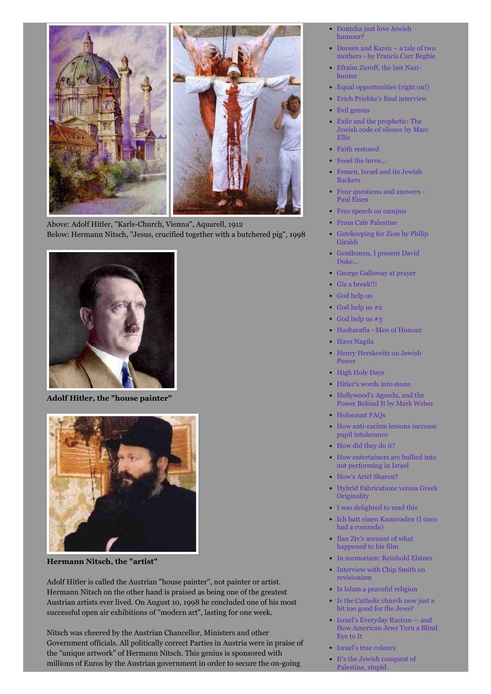

Above: Adolf Hitler, "Karls-Church, Vienna", Aquarell, 1912 Below: Hermann Nitsch, "Jesus, crucified together with a butchered pig", 1998



**Adolf Hitler, the "house painter"**



**Hermann Nitsch, the "artist"**

Adolf Hitler is called the Austrian "house painter", not painter or artist. Hermann Nitsch on the other hand is praised as being one of the greatest Austrian artists ever lived. On August 10, 1998 he concluded one of his most successful open air exhibitions of "modern art", lasting for one week.

Nitsch was cheered by the Austrian Chancellor, Ministers and other Government officials. All politically correct Parties in Austria were in praise of the "unique artwork" of Hermann Nitsch. This genius is sponsored with millions of Euros by the Austrian government in order to secure the on-going

- [Dontcha just love Jewish](http://pauleisen.blogspot.co.uk/2013/05/dontcha-just-love-jewish-humour.html) humour?
- [Doreen and Karen a tale of two](http://pauleisen.blogspot.co.uk/2013/08/doreen-and-karen-tale-of-two-mothers.html) mothers - by Francis Carr Begbie
- [Efraim Zuroff, the last Nazi](http://pauleisen.blogspot.co.uk/2013/05/efraim-zuroff-last-nazi-hunter.html)hunter
- [Equal opportunities \(right on!\)](http://pauleisen.blogspot.co.uk/2013/09/equal-opportunities.html)
	- [Erich Priebke's final interview](http://pauleisen.blogspot.co.uk/2013/10/erich-priebkes-final-interview-late.html)
- [Evil genius](http://pauleisen.blogspot.co.uk/2013/03/evil-genius.html)
- Exile and the prophetic: The [Jewish code of silence by Marc](http://pauleisen.blogspot.co.uk/2013/05/exile-and-prophetic-jewish-code-of.html) Ellis
- [Faith restored](http://pauleisen.blogspot.co.uk/2013/07/faith-restored.html)
- [Feeel the lurve...](http://pauleisen.blogspot.co.uk/2013/10/feel-lurve_23.html)
- [Femen, Israel and its Jewish](http://pauleisen.blogspot.co.uk/2013/08/femen-israel-and-its-jewish-backers.html) Backers
- [Four questions and answers -](http://pauleisen.blogspot.co.uk/2013/06/four-questions-and-answers.html) Paul Eisen
- [Free speech on campus](http://pauleisen.blogspot.co.uk/2013/03/free-speech-on-campus.html)
- [From Cafe Palestine](http://pauleisen.blogspot.co.uk/2013/05/from-cafe-palestine.html)
- [Gatekeeping for Zion by Philip](http://pauleisen.blogspot.co.uk/2013/05/gatekeeping-for-zion-by-philip-giraldi.html) Giraldi
- [Gentlemen, I present David](http://pauleisen.blogspot.co.uk/2013/07/gentlemen-please-take-few-minutes-and.html) Duke...
- [George Galloway at prayer](http://pauleisen.blogspot.ru/2013/10/george-galloway-at-prayer.html)
- [Giz a break!!!](http://pauleisen.blogspot.co.uk/2013/09/giz-break.html)
- [God help us](http://pauleisen.blogspot.co.uk/2013/08/god-help-us.html)
- [God help us #2](http://pauleisen.blogspot.co.uk/2013/09/god-help-us-2.html)
- [God help us #3](http://pauleisen.blogspot.co.uk/2013/09/god-help-us-3.html)
- [Hasbarafia Men of Honour](http://pauleisen.blogspot.co.uk/2013/10/hasbaraafia-men-of-honour.html)
- [Hava Nagila](http://pauleisen.blogspot.co.uk/2013/05/hava-nagila.html)
- [Henry Herskovitz on Jewish](http://pauleisen.blogspot.co.uk/2013/09/henry-herskowitz-on-jewish-power.html) Power
- [High Holy Days](http://pauleisen.blogspot.co.uk/2013/09/high-holy-days.html)
- [Hitler's words into stone](http://pauleisen.blogspot.co.uk/2013/05/hitlers-words-into-stone.html)
- Hollywood's Agenda, and the [Power Behind It by Mark Weber](http://pauleisen.blogspot.co.uk/2013/05/hollywoods-agenda-and-power-behind-it.html)
- [Holocaust FAQs](http://pauleisen.blogspot.co.uk/2013/10/holocaust-faqs.html)
- [How anti-racism lessons increase](http://pauleisen.blogspot.co.uk/2013/04/how-anti-racism-lessons-increase-pupil.html) pupil intolerance
- [How did they do it?](http://pauleisen.blogspot.co.uk/2013/09/how-did-they-do-it.html)
- [How entertainers are bullied into](http://pauleisen.blogspot.co.uk/2013/07/how-entertainers-are-bullied-into-not.html) not performing in Israel
- [How's Ariel Sharon?](http://pauleisen.blogspot.co.uk/2013/09/hows-ariel-sharon.html)
- [Hybrid Fabrications versus Greek](http://pauleisen.blogspot.co.uk/2013/07/hybrid-fabrications-versus-greek.html) **Originality**
- [I was delighted to read this](http://pauleisen.blogspot.co.uk/2013/09/i-was-delighted-to-read-this.html)
- [Ich hatt einen Kameraden \(I once](http://pauleisen.blogspot.co.uk/2013/04/ich-hatt-einen-kameraden-i-once-had.html) had a comrade)
- [Ilan Ziv's account of what](http://pauleisen.blogspot.co.uk/2013/04/ilan-zivs-account-of-what-happened-to.html) happened to his film
- [In memoriam: Reinhold Elstner](http://pauleisen.blogspot.co.uk/2013/04/in-memoriam-reinhold-elstner.html)
- [Interview with Chip Smith on](http://pauleisen.blogspot.co.uk/2013/09/interview-with-chip-smith-on-revisionism.html) revisionism
- [Is Islam a peaceful religion](http://pauleisen.blogspot.co.uk/2013/10/is-islam-peaceful-religion.html)
- [Is the Catholic church now just a](http://pauleisen.blogspot.co.uk/2013/06/is-catholic-church-now-just-bit-too.html) bit too good for the Jews?
- Israel's Everyday Racism and [How American Jews Turn a Blind](http://pauleisen.blogspot.co.uk/2013/08/israels-everyday-racism-and-how.html) Eye to It
- [Israel's true colours](http://pauleisen.blogspot.co.uk/2013/09/israels-true-colours.html)
- [It's the Jewish conquest of](http://pauleisen.blogspot.co.uk/2013/09/the-jewish-conquest-of-palestine.html) Palestine, stupid.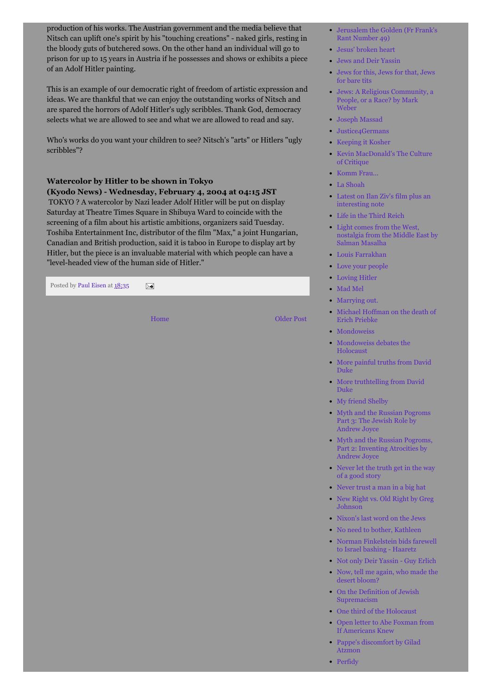production of his works. The Austrian government and the media believe that Nitsch can uplift one's spirit by his "touching creations" - naked girls, resting in the bloody guts of butchered sows. On the other hand an individual will go to prison for up to 15 years in Austria if he possesses and shows or exhibits a piece of an Adolf Hitler painting.

This is an example of our democratic right of freedom of artistic expression and ideas. We are thankful that we can enjoy the outstanding works of Nitsch and are spared the horrors of Adolf Hitler's ugly scribbles. Thank God, democracy selects what we are allowed to see and what we are allowed to read and say.

Who's works do you want your children to see? Nitsch's "arts" or Hitlers "ugly scribbles"?

# **Watercolor by Hitler to be shown in Tokyo**

**(Kyodo News) - Wednesday, February 4, 2004 at 04:15 JST**

TOKYO ? A watercolor by Nazi leader Adolf Hitler will be put on display Saturday at Theatre Times Square in Shibuya Ward to coincide with the screening of a film about his artistic ambitions, organizers said Tuesday. Toshiba Entertainment Inc, distributor of the film "Max," a joint Hungarian, Canadian and British production, said it is taboo in Europe to display art by Hitler, but the piece is an invaluable material with which people can have a "level-headed view of the human side of Hitler."

Posted by Paul [Eisen a](https://plus.google.com/115728519410143369471)t [18:35](http://pauleisen.blogspot.com.au/2013/12/the-artist-and-house-painter.html)  $\overline{\phantom{1}}$ 

[Home](http://pauleisen.blogspot.com.au/) [Older Post](http://pauleisen.blogspot.com.au/2013/12/the-face-of-racism-by-uri-avnery.html)

- [Jerusalem the Golden \(Fr Frank's](http://pauleisen.blogspot.co.uk/2013/08/jerusalem-golden-fr-franks-rant-number.html) Rant Number 49)
- [Jesus' broken heart](http://pauleisen.blogspot.co.uk/2013/03/jesus-broken-heart.html)
- [Jews and Deir Yassin](http://pauleisen.blogspot.co.uk/2013/03/in-clear-sight-of-yad-vashem-jews-and.html)
- [Jews for this, Jews for that, Jews](http://pauleisen.blogspot.co.uk/2013/08/jews-for-this-jews-for-that-jews-for.html) for bare tits
- [Jews: A Religious Community, a](http://pauleisen.blogspot.co.uk/2013/08/jews-religious-community-people-or-race.html) People, or a Race? by Mark Weber
- [Joseph Massad](http://pauleisen.blogspot.co.uk/2013/05/joseph-massad.html)
- [Justice4Germans](http://pauleisen.blogspot.co.uk/2013/08/justice4germans.html)
- [Keeping it Kosher](http://pauleisen.blogspot.co.uk/2013/09/keeping-it-kosher.html)
- [Kevin MacDonald's The Culture](http://pauleisen.blogspot.co.uk/2013/07/kevin-macdonalds-culture-of-critique.html) of Critique
- [Komm Frau...](http://pauleisen.blogspot.co.uk/2013/10/komm-frau.html)
- [La Shoah](http://pauleisen.blogspot.co.uk/2013/10/la-shoah.html)
- [Latest on Ilan Ziv's film plus an](http://pauleisen.blogspot.co.uk/2013/04/latest-on-ilan-zivs-film-plus.html) interesting note
- [Life in the Third Reich](http://pauleisen.blogspot.co.uk/2013/08/life-in-third-reich-by-friedrich-kurreck.html)
- Light comes from the West, [nostalgia from the Middle East by](http://pauleisen.blogspot.co.uk/2013/09/light-comes-from-west-nostalgia-from.html) Salman Masalha
- [Louis Farrakhan](http://pauleisen.blogspot.co.uk/2013/09/louis-farrakhan.html)
- **[Love your people](http://pauleisen.blogspot.co.uk/2013/05/love-your-people.html)**
- [Loving Hitler](http://pauleisen.blogspot.co.uk/2013/06/loving-hitler.html)
- [Mad Mel](http://pauleisen.blogspot.co.uk/2013/06/mad-mel.html)
- [Marrying out.](http://pauleisen.blogspot.co.uk/2013/09/marrying-out.html)
- [Michael Hoffman on the death of](http://pauleisen.blogspot.co.uk/2013/10/michael-hoffman-on-death-of-erich.html) Erich Priebke
- [Mondoweiss](http://pauleisen.blogspot.com/2013/09/mondoweiss.html)
- [Mondoweiss debates the](http://pauleisen.blogspot.com/2013/09/mondoweiss-debates-holocaust.html) Holocaust
- [More painful truths from David](http://pauleisen.blogspot.co.uk/2013/10/more-painful-truths-from-david-duke.html) Duke
- [More truthtelling from David](http://pauleisen.blogspot.co.uk/2013/05/more-truthtelling-from-david-duke.html) Duke
- [My friend Shelby](http://pauleisen.blogspot.co.uk/2013/07/my-friend-shelby.html)
- [Myth and the Russian Pogroms](http://pauleisen.blogspot.co.uk/2013/03/myth-and-russian-pogroms-part-3-jewish.html) Part 3: The Jewish Role by Andrew Joyce
- [Myth and the Russian Pogroms,](http://pauleisen.blogspot.co.uk/2013/03/myth-and-russian-pogroms-part-2.html) Part 2: Inventing Atrocities by Andrew Joyce
- [Never let the truth get in the way](http://pauleisen.blogspot.co.uk/2013/07/never-let-truth-get-in-way-of-good-story.html) of a good story
- [Never trust a man in a big hat](http://pauleisen.blogspot.co.uk/2013/09/never-trust-man-in-big-hat.html)
- [New Right vs. Old Right by Greg](http://pauleisen.blogspot.co.uk/2013/05/new-right-vs-old-right-by-greg-johnson.html) Johnson
- [Nixon's last word on the Jews](http://pauleisen.blogspot.co.uk/2013/08/nixons-last-word-on-jews.html)
- [No need to bother, Kathleen](http://pauleisen.blogspot.co.uk/2013/10/no-need-to-bother-kathleen.html)
- [Norman Finkelstein bids farewell](http://pauleisen.blogspot.co.uk/2013/05/norman-finkelstein-bids-farewell-to.html) to Israel bashing - Haaretz
- [Not only Deir Yassin Guy Erlich](http://pauleisen.blogspot.co.uk/2013/03/not-only-deir-yassin-guy-erlich.html)
- [Now, tell me again, who made the](http://pauleisen.blogspot.co.uk/2013/09/now-tell-me-again-who-made-desert-bloom.html) desert bloom?
- [On the Definition of Jewish](http://pauleisen.blogspot.co.uk/2013/08/on-definition-of-jewish-supremacism.html) Supremacism
- [One third of the Holocaust](http://pauleisen.blogspot.co.uk/2013/09/one-third-of-holocaust.html)
- [Open letter to Abe Foxman from](http://www.counterpunch.org/2013/10/24/a-modest-proposal-to-the-anti-defamation-league/) If Americans Knew
- [Pappe's discomfort by Gilad](http://pauleisen.blogspot.co.uk/2013/05/pappes-discomfort-by-gilad-atzmon.html) Atzmon
- [Perfidy](http://pauleisen.blogspot.co.uk/2013/10/perfidy.html)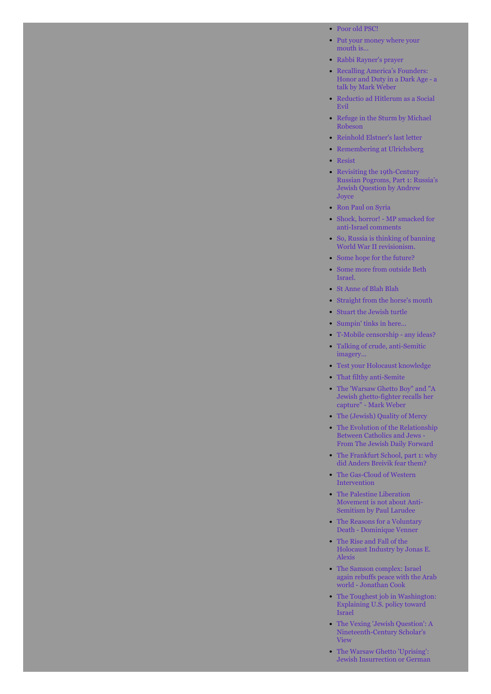[Poor old PSC!](http://pauleisen.blogspot.co.uk/2013/06/poor-old-psc.html)

- [Put your money where your](http://pauleisen.blogspot.co.uk/2013/10/put-your-money-where-your-mouth-is.html) mouth is...
- [Rabbi Rayner's prayer](http://pauleisen.blogspot.co.uk/2013/05/rabbi-rayners-prayer.html)
- Recalling America's Founders: [Honor and Duty in a Dark Age - a](http://pauleisen.blogspot.co.uk/2013/07/recalling-americas-founders-honor-and.html) talk by Mark Weber
- [Reductio ad Hitlerum as a Social](http://pauleisen.blogspot.co.uk/2013/07/reductio-ad-hitlerum-as-social-evil.html) Evil
- [Refuge in the Sturm by Michael](http://pauleisen.blogspot.co.uk/2013/06/refuge-in-sturm-by-michael-robeson.html) Robeson
- [Reinhold Elstner's last letter](http://pauleisen.blogspot.co.uk/2013/04/reinhold-elstners-letter-full-text.html)
- [Remembering at Ulrichsberg](http://pauleisen.blogspot.com/2013/09/remembering-at-ulrichsberg.html)
- [Resist](http://pauleisen.blogspot.co.uk/2013/10/resist.html)
- Revisiting the 19th-Century [Russian Pogroms, Part 1: Russia's](http://pauleisen.blogspot.co.uk/2013/03/revisiting-19th-century-russian-pogroms.html) Jewish Question by Andrew Joyce
- [Ron Paul on Syria](http://pauleisen.blogspot.co.uk/2013/06/ron-paul-on-syria.html)
- [Shock, horror! MP smacked for](http://pauleisen.blogspot.co.uk/2013/07/shock-horror-mp-smacked-for-anti-israel.html) anti-Israel comments
- [So, Russia is thinking of banning](http://pauleisen.blogspot.co.uk/2013/07/so-russia-is-thinking-of-banning-world.html) World War II revisionism.
- [Some hope for the future?](http://pauleisen.blogspot.co.uk/2013/09/some-hope-for-future.html)
- [Some more from outside Beth](http://pauleisen.blogspot.co.uk/2013/06/some-more-from-outside-beth-israel-ann.html) Israel.
- [St Anne of Blah Blah](http://pauleisen.blogspot.co.uk/2013/10/st-anne-of-blah-blah.html)
- [Straight from the horse's mouth](http://pauleisen.blogspot.co.uk/2013/08/straight-from-horses-mouth.html)
- [Stuart the Jewish turtle](http://pauleisen.blogspot.co.uk/2013/05/stuart-jewish-turtle.html)
- [Sumpin' tinks in here...](http://pauleisen.blogspot.co.uk/2013/10/sumpin-tinks-in-here.html)
- [T-Mobile censorship any ideas?](http://pauleisen.blogspot.co.uk/2013/09/being-temporarily-without-broadband-i.html)
- [Talking of crude, anti-Semitic](http://pauleisen.blogspot.co.uk/2013/07/talking-of-crude-anti-semitic-imagery.html) imagery...
- [Test your Holocaust knowledge](http://pauleisen.blogspot.co.uk/2013/07/test-your-holocaust-knowledge.html)
- [That filthy anti-Semite](http://pauleisen.blogspot.co.uk/2013/09/that-filthy-anti-semite.html)
- [The 'Warsaw Ghetto Boy" and "A](http://pauleisen.blogspot.co.uk/2013/04/the-warsaw-ghetto-boy-and-jewish-ghetto.html)  $\bullet$ Jewish ghetto-fighter recalls her capture" - Mark Weber
- [The \(Jewish\) Quality of Mercy](http://pauleisen.blogspot.co.uk/2013/07/the-jewish-quality-of-mercy.html)
- [The Evolution of the Relationship](http://pauleisen.blogspot.co.uk/2013/06/the-evolution-of-relationship-between.html) Between Catholics and Jews - From The Jewish Daily Forward
- [The Frankfurt School, part 1: why](http://pauleisen.blogspot.co.uk/2013/07/the-frankfurt-school-part-1-why-did.html) did Anders Breivik fear them?
- [The Gas-Cloud of Western](http://pauleisen.blogspot.co.uk/2013/09/the-gas-cloud-of-western-intervention.html) Intervention
- The Palestine Liberation [Movement is not about Anti-](http://pauleisen.blogspot.co.uk/2013/05/the-palestine-liberation-movement-is.html)Semitism by Paul Larudee
- [The Reasons for a Voluntary](http://pauleisen.blogspot.co.uk/2013/05/the-reasons-for-voluntary-death.html.) Death - Dominique Venner
- The Rise and Fall of the [Holocaust Industry by Jonas E.](http://pauleisen.blogspot.co.uk/2013/05/the-rise-and-fall-of-holocaust-industry.html) Alexis
- The Samson complex: Israel [again rebuffs peace with the Arab](http://pauleisen.blogspot.co.uk/2013/05/the-samson-complex-israel-again-rebuffs.html) world - Jonathan Cook
- [The Toughest job in Washington:](http://pauleisen.blogspot.co.uk/2013/08/the-toughest-job-in-washington.html) Explaining U.S. policy toward Israel
- [The Vexing 'Jewish Question': A](http://pauleisen.blogspot.co.uk/2013/05/the-vexing-jewish-question-nineteenth.html) Nineteenth-Century Scholar's View
- The Warsaw Ghetto 'Uprising': [Jewish Insurrection or German](http://pauleisen.blogspot.co.uk/2013/04/the-warsaw-ghetto-uprising-jewish.html)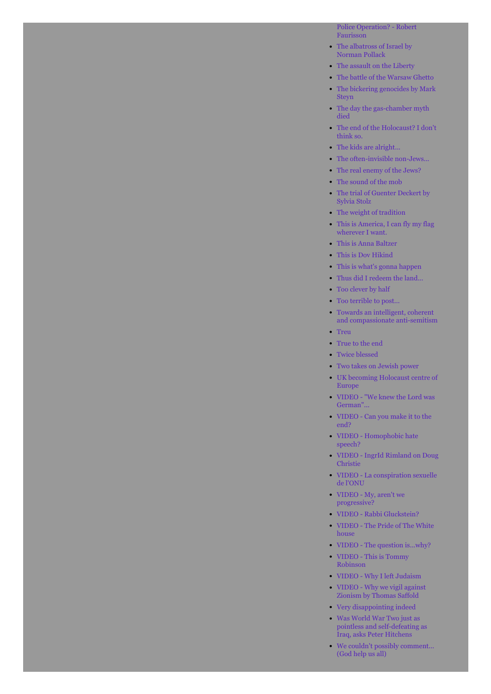[Police Operation? - Robert](http://pauleisen.blogspot.co.uk/2013/04/the-warsaw-ghetto-uprising-jewish.html) Faurisson

- $\bullet$ [The albatross of Israel by](http://pauleisen.blogspot.co.uk/2013/05/the-albatross-of-israel-by-norman.html) Norman Pollack
- [The assault on the Liberty](http://pauleisen.blogspot.co.uk/2013/06/the-assault-on-uss-liberty.html)
- [The battle of the Warsaw Ghetto](http://pauleisen.blogspot.co.uk/2013/04/the-battle-of-warsaw-ghetto.html)
- [The bickering genocides by Mark](http://pauleisen.blogspot.co.uk/2013/05/the-bickering-genocides-by-mark-steyn.html) Steyn
- [The day the gas-chamber myth](http://pauleisen.blogspot.co.uk/2013/06/the-day-the-gas-chamber-myth-died.html) died
- [The end of the Holocaust? I don't](http://pauleisen.blogspot.co.uk/2013/07/the-end-of-holocaust-i-dont-think-so.html) think so.
- [The kids are alright...](http://pauleisen.blogspot.co.uk/2013/08/the-kids-are-alright.html)
- [The often-invisible non-Jews...](http://pauleisen.blogspot.co.uk/2013/10/the-often-invisible-non-jews.html)
- [The real enemy of the Jews?](http://pauleisen.blogspot.co.uk/2013/04/the-real-enemy-of-jews.html)
- [The sound of the mob](http://pauleisen.blogspot.co.uk/2013/05/the-sound-of-mob.html)
- [The trial of Guenter Deckert by](http://pauleisen.blogspot.co.uk/2013/05/the-trial-of-guenter-deckert-by-sylvia.html)  $\bullet$ Sylvia Stolz
- [The weight of tradition](http://pauleisen.blogspot.co.uk/2013/10/the-weight-of-tradition-why-judaism-is.html)
- [This is America, I can fly my flag](http://pauleisen.blogspot.co.uk/2013/09/this-is-america-i-can-fly-my-flag.html) wherever I want.
- [This is Anna Baltzer](http://pauleisen.blogspot.com/2013/10/this-is-anna-baltzer.html)
- [This is Dov Hikind](http://pauleisen.blogspot.co.uk/2013/10/this-is-dov-hikind.html)
- [This is what's gonna happen](http://pauleisen.blogspot.co.uk/2013/05/this-is-whats-gonna-happen.html)
- [Thus did I redeem the land...](http://pauleisen.blogspot.co.uk/2013/06/thus-did-i-redeem-land.html)
- [Too clever by half](http://pauleisen.blogspot.co.uk/2013/08/william-rapfogels-sudden-fall-from.html)
- [Too terrible to post...](http://pauleisen.blogspot.co.uk/2013/10/too-terrible-to-post.html)
- $\bullet$ Towards an intelligent, coherent [and compassionate anti-semitism](http://pauleisen.blogspot.co.uk/2013/09/towards-intelligent-coherent-and.html)
- [Treu](http://pauleisen.blogspot.co.uk/2013/10/treu.html)
- [True to the end](http://pauleisen.blogspot.co.uk/2013/09/true-to-end.html)
- [Twice blessed](http://pauleisen.blogspot.co.uk/2013/08/twice-blessed.html)
- [Two takes on Jewish power](http://pauleisen.blogspot.co.uk/2013/05/two-takes-on-jewish-power.html)
- [UK becoming Holocaust centre of](http://pauleisen.blogspot.ru/2013/10/uk-becoming-holocaust-centre-of-europe.html) Europe
- [VIDEO "We knew the Lord was](http://pauleisen.blogspot.co.uk/2013/07/we-knew-lord-was-german.html) German"...
- [VIDEO Can you make it to the](http://pauleisen.blogspot.co.uk/2013/07/i-hope-you-make-it-to-end.html) end?
- [VIDEO Homophobic hate](http://pauleisen.blogspot.co.uk/2013/07/homophobic-hate-speech.html) speech?
- [VIDEO IngrId Rimland on Doug](http://pauleisen.blogspot.co.uk/2013/03/ingrid-rimland-on-doug-christie.html) Christie
- [VIDEO La conspiration sexuelle](http://pauleisen.blogspot.co.uk/2013/08/la-conspiration-sexuelle-de-lonu.html) de l'ONU
- [VIDEO My, aren't we](http://pauleisen.blogspot.co.uk/2013/07/my-arent-we-progressive.html) progressive?
- [VIDEO Rabbi Gluckstein?](http://pauleisen.blogspot.co.uk/2013/06/rabbi-gluckstein.html)
- $\bullet$ [VIDEO - The Pride of The White](http://pauleisen.blogspot.co.uk/2013/07/the-pride-of-white-house.html) house
- [VIDEO The question is...why?](http://pauleisen.blogspot.co.uk/2013/07/the-question-iswhy.html)
- [VIDEO This is Tommy](http://pauleisen.blogspot.co.uk/2013/07/this-is-tommy-robinson.html) Robinson
- [VIDEO Why I left Judaism](http://pauleisen.blogspot.co.uk/2013/07/why-i-left-judaism.html)
- [VIDEO Why we vigil against](http://pauleisen.blogspot.co.uk/2013/09/why-we-vigil-against-zionism-by-thomas.html) Zionism by Thomas Saffold
- [Very disappointing indeed](http://pauleisen.blogspot.co.uk/2013/07/very-disappointing-indeed.html)
- Was World War Two just as [pointless and self-defeating as](http://pauleisen.blogspot.co.uk/2013/06/was-world-war-two-just-as-pointless-and.html) Iraq, asks Peter Hitchens
- [We couldn't possibly comment...](http://pauleisen.blogspot.co.uk/2013/07/we-couldnt-possibly-commentgod-help-us.html) (God help us all)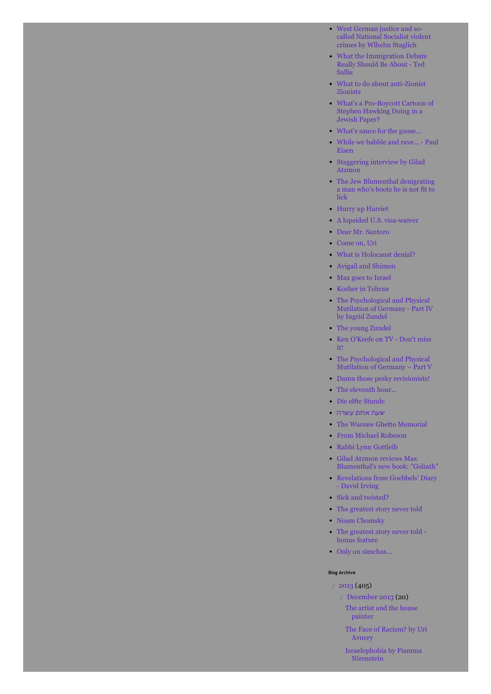- West German justice and so[called National Socialist violent](http://pauleisen.blogspot.co.uk/2013/05/west-german-justice-and-so-called.html) crimes by Wlhelm Staglich
- [What the Immigration Debate](http://pauleisen.blogspot.co.uk/2013/05/what-immigration-debate-really-should.html) Really Should Be About - Ted Sallis
- [What to do about anti-Zionist](http://pauleisen.blogspot.co.uk/2013/10/what-to-do-about-anti-zionist-zionists.html) Zionists
- [What's a Pro-Boycott Cartoon of](http://pauleisen.blogspot.co.uk/2013/06/whats-pro-boycott-cartoon-of-stephen.html) Stephen Hawking Doing in a Jewish Paper?
- [What's sauce for the goose...](http://pauleisen.blogspot.co.uk/2013/07/whats-sauce-for-goose.html)
- [While we babble and rave... Paul](http://pauleisen.blogspot.co.uk/2013/03/while-we-babble-and-rave-paul-eisen.html) Eisen
- [Staggering interview by Gilad](http://pauleisen.blogspot.co.uk/2013/10/staggering-interview-by-gilad-atzmon.html) Atzmon
- [The Jew Blumenthal denigrating](http://pauleisen.blogspot.co.uk/2013/10/the-jew-blumenthal-denigrating-man-whos.html) a man who's boots he is not fit to lick
- [Hurry up Harriet](http://pauleisen.blogspot.co.uk/2013/10/hurry-up-harriet.html)
- [A lopsided U.S. visa-waiver](http://pauleisen.blogspot.co.uk/2013/10/a-lopsided-us-visa-waiver.html)
- [Dear Mr. Santoro](http://pauleisen.blogspot.co.uk/2013/10/dear-mr-santoro.html)
- [Come on, Uri](http://pauleisen.blogspot.co.uk/2013/10/come-on-uri.html)
- [What is Holocaust denial?](http://pauleisen.blogspot.co.uk/2013/11/what-is-holocaust-denial.html)
- [Avigail and Shimon](http://pauleisen.blogspot.com/2013/11/avigail-and-shimon.html)
- [Max goes to Israel](http://pauleisen.blogspot.co.uk/2013/11/max-goes-to-israel.html)
- [Kosher in Tehran](http://pauleisen.blogspot.co.uk/2013/11/kosher-in-tehran.html)
- The Psychological and Physical [Mutilation of Germany - Part IV](http://pauleisen.blogspot.co.uk/2013/11/the-psychological-and-physical.html) by Ingrid Zundel
- [The young Zundel](http://pauleisen.blogspot.co.uk/2013/11/the-young-zundel.html)
- [Ken O'Keefe on TV Don't miss](http://pauleisen.blogspot.co.uk/2013/11/ken-okeefe-on-tv-dont-miss-it.html) it!
- The Psychological and Physical [Mutilation of Germany – Part V](http://pauleisen.blogspot.co.uk/2013/11/the-psychological-and-physical_7.html)
- [Damn those pesky revisionists!](http://pauleisen.blogspot.co.uk/2013/11/damn-those-pesky-revisionists.html)
- [The eleventh hour...](http://pauleisen.blogspot.co.uk/2013/11/the-eleventh-hour.html)
- [Die elfte Stunde](http://pauleisen.blogspot.co.uk/2013/11/die-elfte-stunde.html)
- שעה אחת [עשרה](http://pauleisen.blogspot.co.uk/2013/11/blog-post.html)
- [The Warsaw Ghetto Memorial](http://pauleisen.blogspot.co.uk/2013/11/the-warsaw-ghetto-memorial.html)
- [From Michael Robeson](http://pauleisen.blogspot.co.uk/2013/11/from-michael-robeson.html)
- [Rabbi Lynn Gottleib](http://pauleisen.blogspot.co.uk/2013/11/rabbi-lynn-gottleib.html)
- Gilad Atzmon reviews Max  $\bullet$ [Blumenthal's new book: "Goliath"](http://pauleisen.blogspot.co.uk/2013/11/gilad-atzmon-reviews-max-blumenthals.html)
- [Revelations from Goebbels' Diary](http://pauleisen.blogspot.co.uk/2013/11/revelations-from-goebbels-diary-david.html) - David Irving
- [Sick and twisted?](http://pauleisen.blogspot.co.uk/2013/11/sick-and-twisted.html)
- [The greatest story never told](http://pauleisen.blogspot.co.uk/2013/11/the-greatest-story-never-told.html)
- [Noam Chomsky](http://pauleisen.blogspot.co.uk/2013/11/noam-chomsky.html)
- [The greatest story never told](http://pauleisen.blogspot.co.uk/2013/11/the-greatest-story-never-told-bonus.html)  bonus feature
- [Only on simchas...](http://pauleisen.blogspot.co.uk/2013/11/only-on-simchas.html)

#### **Blog Archive**

- $(405)$ 
	- ▼ [December 2013](http://pauleisen.blogspot.com.au/2013_12_01_archive.html) (20) [The artist and the house](http://pauleisen.blogspot.com.au/2013/12/the-artist-and-house-painter.html) painter
	- [The Face of Racism? by Uri](http://pauleisen.blogspot.com.au/2013/12/the-face-of-racism-by-uri-avnery.html) Avnery
	- [Israelophobia by Fiamma](http://pauleisen.blogspot.com.au/2013/12/israelophobia-by-fiamma-nirensteinn.html) Nirenstein